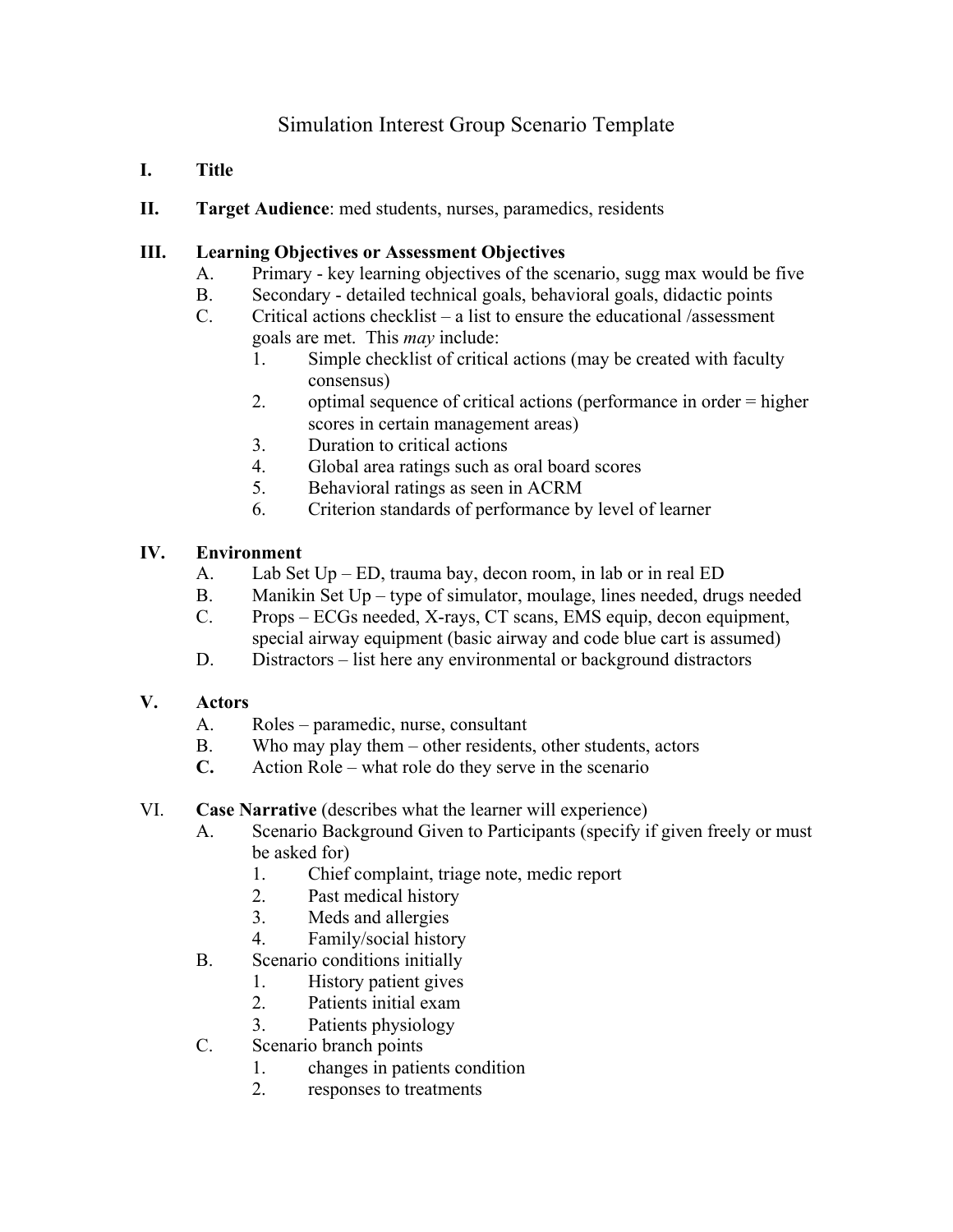# Simulation Interest Group Scenario Template

#### **I. Title**

**II. Target Audience**: med students, nurses, paramedics, residents

### **III. Learning Objectives or Assessment Objectives**

- A. Primary key learning objectives of the scenario, sugg max would be five
- B. Secondary detailed technical goals, behavioral goals, didactic points
- C. Critical actions checklist a list to ensure the educational /assessment goals are met. This *may* include:
	- 1. Simple checklist of critical actions (may be created with faculty consensus)
	- 2. optimal sequence of critical actions (performance in order = higher scores in certain management areas)
	- 3. Duration to critical actions
	- 4. Global area ratings such as oral board scores
	- 5. Behavioral ratings as seen in ACRM
	- 6. Criterion standards of performance by level of learner

## **IV. Environment**

- A. Lab Set Up ED, trauma bay, decon room, in lab or in real ED
- B. Manikin Set Up type of simulator, moulage, lines needed, drugs needed
- C. Props ECGs needed, X-rays, CT scans, EMS equip, decon equipment, special airway equipment (basic airway and code blue cart is assumed)
- D. Distractors list here any environmental or background distractors

## **V. Actors**

- A. Roles paramedic, nurse, consultant
- B. Who may play them other residents, other students, actors
- **C.** Action Role what role do they serve in the scenario

## VI. **Case Narrative** (describes what the learner will experience)

- A. Scenario Background Given to Participants (specify if given freely or must be asked for)
	- 1. Chief complaint, triage note, medic report
	- 2. Past medical history
	- 3. Meds and allergies
	- 4. Family/social history
- B. Scenario conditions initially
	- 1. History patient gives
	- 2. Patients initial exam
	- 3. Patients physiology
- C. Scenario branch points
	- 1. changes in patients condition
	- 2. responses to treatments